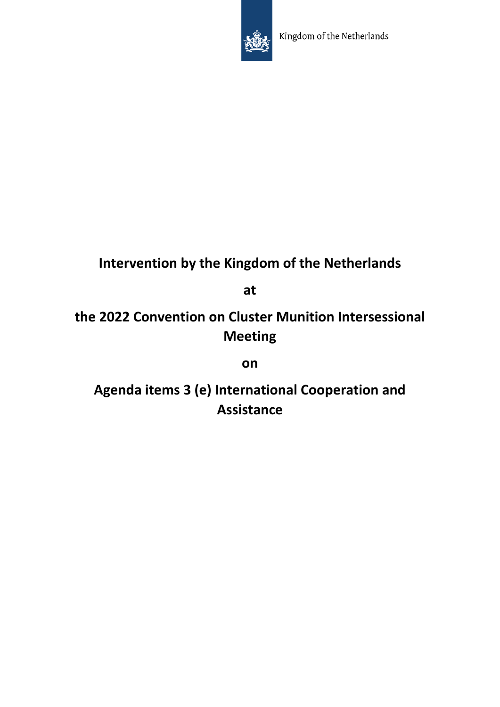

## **Intervention by the Kingdom of the Netherlands**

**at** 

**the 2022 Convention on Cluster Munition Intersessional Meeting** 

**on**

**Agenda items 3 (e) International Cooperation and Assistance**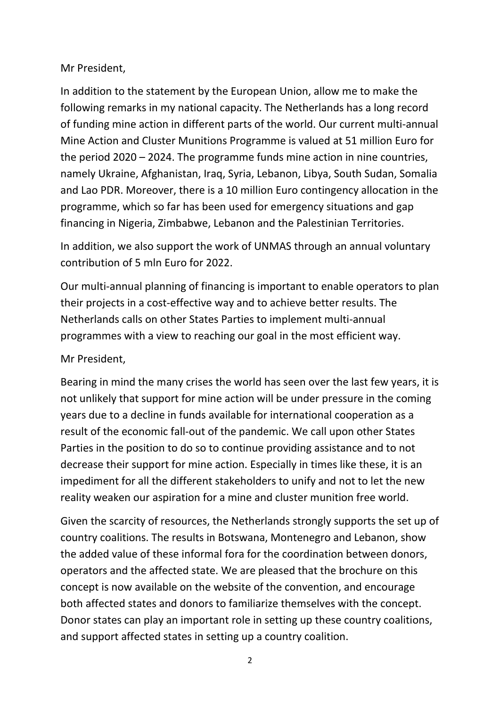## Mr President,

In addition to the statement by the European Union, allow me to make the following remarks in my national capacity. The Netherlands has a long record of funding mine action in different parts of the world. Our current multi-annual Mine Action and Cluster Munitions Programme is valued at 51 million Euro for the period 2020 – 2024. The programme funds mine action in nine countries, namely Ukraine, Afghanistan, Iraq, Syria, Lebanon, Libya, South Sudan, Somalia and Lao PDR. Moreover, there is a 10 million Euro contingency allocation in the programme, which so far has been used for emergency situations and gap financing in Nigeria, Zimbabwe, Lebanon and the Palestinian Territories.

In addition, we also support the work of UNMAS through an annual voluntary contribution of 5 mln Euro for 2022.

Our multi-annual planning of financing is important to enable operators to plan their projects in a cost-effective way and to achieve better results. The Netherlands calls on other States Parties to implement multi-annual programmes with a view to reaching our goal in the most efficient way.

## Mr President,

Bearing in mind the many crises the world has seen over the last few years, it is not unlikely that support for mine action will be under pressure in the coming years due to a decline in funds available for international cooperation as a result of the economic fall-out of the pandemic. We call upon other States Parties in the position to do so to continue providing assistance and to not decrease their support for mine action. Especially in times like these, it is an impediment for all the different stakeholders to unify and not to let the new reality weaken our aspiration for a mine and cluster munition free world.

Given the scarcity of resources, the Netherlands strongly supports the set up of country coalitions. The results in Botswana, Montenegro and Lebanon, show the added value of these informal fora for the coordination between donors, operators and the affected state. We are pleased that the brochure on this concept is now available on the website of the convention, and encourage both affected states and donors to familiarize themselves with the concept. Donor states can play an important role in setting up these country coalitions, and support affected states in setting up a country coalition.